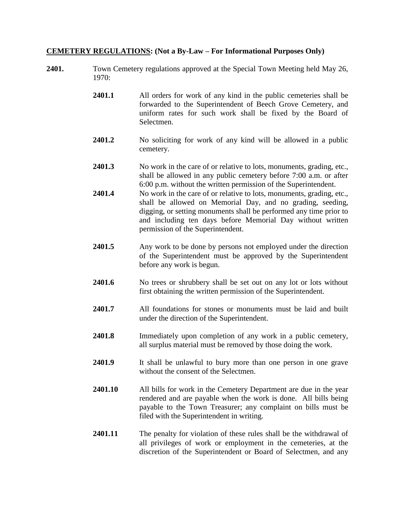## **CEMETERY REGULATIONS: (Not a By-Law – For Informational Purposes Only)**

- **2401.** Town Cemetery regulations approved at the Special Town Meeting held May 26, 1970:
	- **2401.1** All orders for work of any kind in the public cemeteries shall be forwarded to the Superintendent of Beech Grove Cemetery, and uniform rates for such work shall be fixed by the Board of Selectmen.
	- **2401.2** No soliciting for work of any kind will be allowed in a public cemetery.
	- **2401.3** No work in the care of or relative to lots, monuments, grading, etc., shall be allowed in any public cemetery before 7:00 a.m. or after 6:00 p.m. without the written permission of the Superintendent.
	- **2401.4** No work in the care of or relative to lots, monuments, grading, etc., shall be allowed on Memorial Day, and no grading, seeding, digging, or setting monuments shall be performed any time prior to and including ten days before Memorial Day without written permission of the Superintendent.
	- 2401.5 Any work to be done by persons not employed under the direction of the Superintendent must be approved by the Superintendent before any work is begun.
	- **2401.6** No trees or shrubbery shall be set out on any lot or lots without first obtaining the written permission of the Superintendent.
	- **2401.7** All foundations for stones or monuments must be laid and built under the direction of the Superintendent.
	- **2401.8** Immediately upon completion of any work in a public cemetery, all surplus material must be removed by those doing the work.
	- **2401.9** It shall be unlawful to bury more than one person in one grave without the consent of the Selectmen.
	- **2401.10** All bills for work in the Cemetery Department are due in the year rendered and are payable when the work is done. All bills being payable to the Town Treasurer; any complaint on bills must be filed with the Superintendent in writing.
	- **2401.11** The penalty for violation of these rules shall be the withdrawal of all privileges of work or employment in the cemeteries, at the discretion of the Superintendent or Board of Selectmen, and any